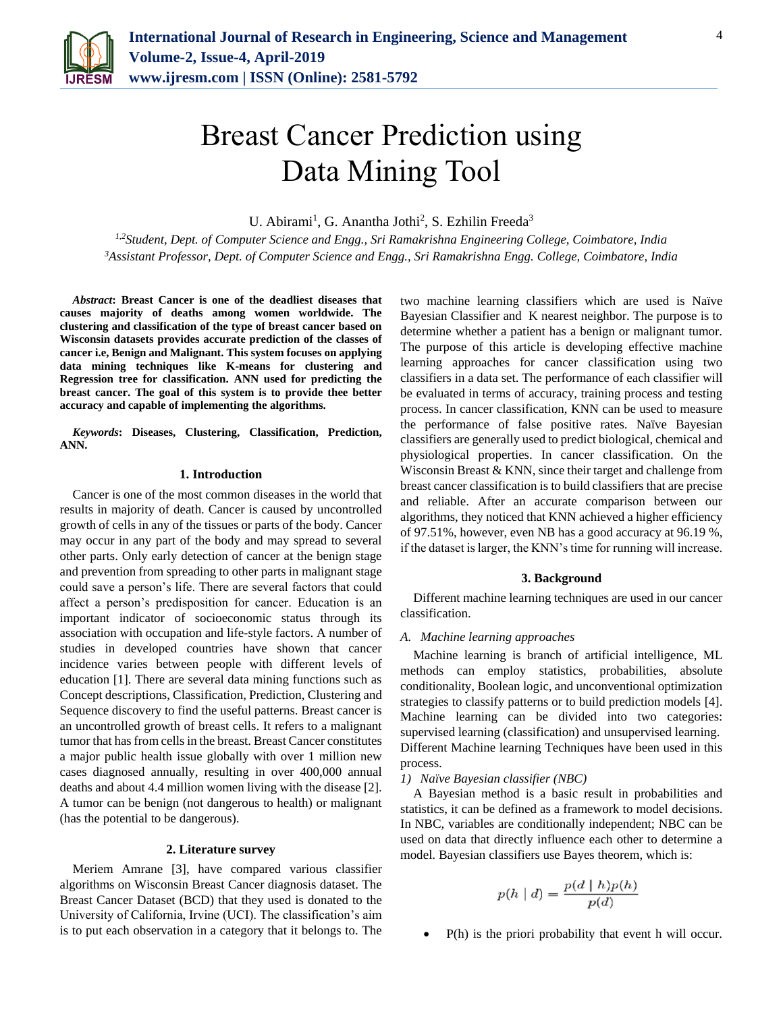

# Breast Cancer Prediction using Data Mining Tool

U. Abirami<sup>1</sup>, G. Anantha Jothi<sup>2</sup>, S. Ezhilin Freeda<sup>3</sup>

*1,2Student, Dept. of Computer Science and Engg., Sri Ramakrishna Engineering College, Coimbatore, India <sup>3</sup>Assistant Professor, Dept. of Computer Science and Engg., Sri Ramakrishna Engg. College, Coimbatore, India*

*Abstract***: Breast Cancer is one of the deadliest diseases that causes majority of deaths among women worldwide. The clustering and classification of the type of breast cancer based on Wisconsin datasets provides accurate prediction of the classes of cancer i.e, Benign and Malignant. This system focuses on applying data mining techniques like K-means for clustering and Regression tree for classification. ANN used for predicting the breast cancer. The goal of this system is to provide thee better accuracy and capable of implementing the algorithms.**

*Keywords***: Diseases, Clustering, Classification, Prediction, ANN.**

#### **1. Introduction**

Cancer is one of the most common diseases in the world that results in majority of death. Cancer is caused by uncontrolled growth of cells in any of the tissues or parts of the body. Cancer may occur in any part of the body and may spread to several other parts. Only early detection of cancer at the benign stage and prevention from spreading to other parts in malignant stage could save a person's life. There are several factors that could affect a person's predisposition for cancer. Education is an important indicator of socioeconomic status through its association with occupation and life-style factors. A number of studies in developed countries have shown that cancer incidence varies between people with different levels of education [1]. There are several data mining functions such as Concept descriptions, Classification, Prediction, Clustering and Sequence discovery to find the useful patterns. Breast cancer is an uncontrolled growth of breast cells. It refers to a malignant tumor that has from cells in the breast. Breast Cancer constitutes a major public health issue globally with over 1 million new cases diagnosed annually, resulting in over 400,000 annual deaths and about 4.4 million women living with the disease [2]. A tumor can be benign (not dangerous to health) or malignant (has the potential to be dangerous).

# **2. Literature survey**

Meriem Amrane [3], have compared various classifier algorithms on Wisconsin Breast Cancer diagnosis dataset. The Breast Cancer Dataset (BCD) that they used is donated to the University of California, Irvine (UCI). The classification's aim is to put each observation in a category that it belongs to. The two machine learning classifiers which are used is Naïve Bayesian Classifier and K nearest neighbor. The purpose is to determine whether a patient has a benign or malignant tumor. The purpose of this article is developing effective machine learning approaches for cancer classification using two classifiers in a data set. The performance of each classifier will be evaluated in terms of accuracy, training process and testing process. In cancer classification, KNN can be used to measure the performance of false positive rates. Naïve Bayesian classifiers are generally used to predict biological, chemical and physiological properties. In cancer classification. On the Wisconsin Breast & KNN, since their target and challenge from breast cancer classification is to build classifiers that are precise and reliable. After an accurate comparison between our algorithms, they noticed that KNN achieved a higher efficiency of 97.51%, however, even NB has a good accuracy at 96.19 %, if the dataset is larger, the KNN's time for running will increase.

#### **3. Background**

Different machine learning techniques are used in our cancer classification.

#### *A. Machine learning approaches*

Machine learning is branch of artificial intelligence, ML methods can employ statistics, probabilities, absolute conditionality, Boolean logic, and unconventional optimization strategies to classify patterns or to build prediction models [4]. Machine learning can be divided into two categories: supervised learning (classification) and unsupervised learning. Different Machine learning Techniques have been used in this process.

#### *1) Naïve Bayesian classifier (NBC)*

A Bayesian method is a basic result in probabilities and statistics, it can be defined as a framework to model decisions. In NBC, variables are conditionally independent; NBC can be used on data that directly influence each other to determine a model. Bayesian classifiers use Bayes theorem, which is:

$$
p(h | d) = \frac{p(d | h)p(h)}{p(d)}
$$

P(h) is the priori probability that event h will occur.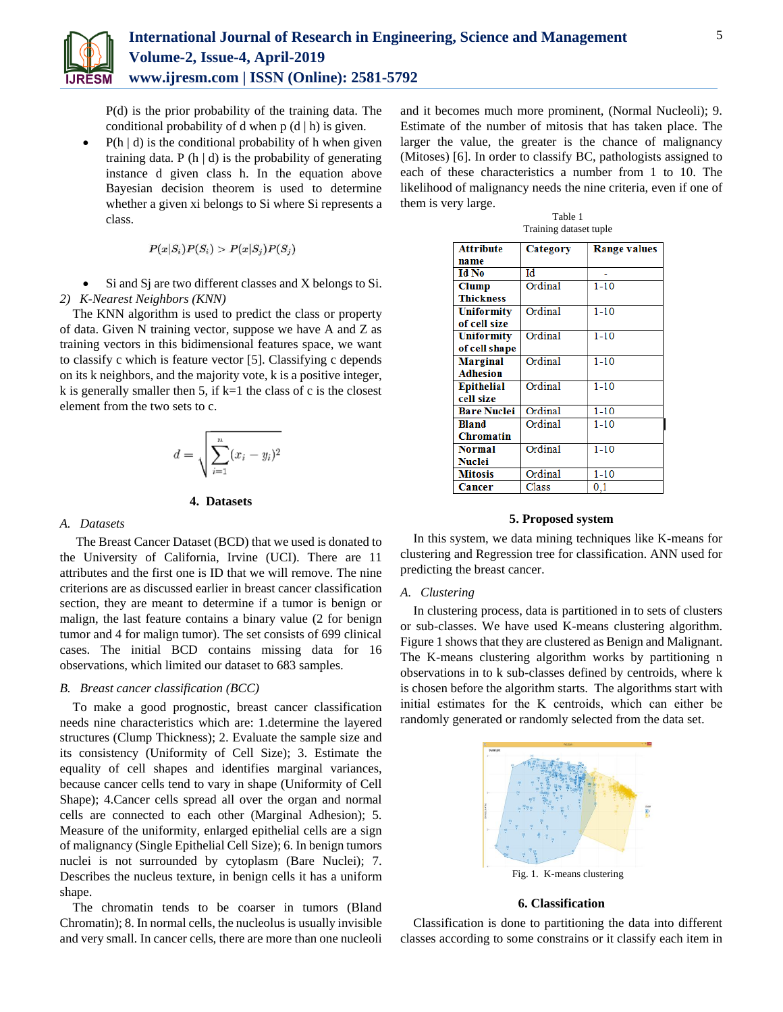

P(d) is the prior probability of the training data. The conditional probability of d when  $p(d | h)$  is given.

 $P(h | d)$  is the conditional probability of h when given training data. P  $(h | d)$  is the probability of generating instance d given class h. In the equation above Bayesian decision theorem is used to determine whether a given xi belongs to Si where Si represents a class.

$$
P(x|S_i)P(S_i) > P(x|S_j)P(S_j)
$$

 Si and Sj are two different classes and X belongs to Si. *2) K-Nearest Neighbors (KNN)*

The KNN algorithm is used to predict the class or property of data. Given N training vector, suppose we have A and Z as training vectors in this bidimensional features space, we want to classify c which is feature vector [5]. Classifying c depends on its k neighbors, and the majority vote, k is a positive integer, k is generally smaller then 5, if  $k=1$  the class of c is the closest element from the two sets to c.

$$
d = \sqrt{\sum_{i=1}^{n} (x_i - y_i)^2}
$$

#### **4. Datasets**

# *A. Datasets*

The Breast Cancer Dataset (BCD) that we used is donated to the University of California, Irvine (UCI). There are 11 attributes and the first one is ID that we will remove. The nine criterions are as discussed earlier in breast cancer classification section, they are meant to determine if a tumor is benign or malign, the last feature contains a binary value (2 for benign tumor and 4 for malign tumor). The set consists of 699 clinical cases. The initial BCD contains missing data for 16 observations, which limited our dataset to 683 samples.

# *B. Breast cancer classification (BCC)*

To make a good prognostic, breast cancer classification needs nine characteristics which are: 1.determine the layered structures (Clump Thickness); 2. Evaluate the sample size and its consistency (Uniformity of Cell Size); 3. Estimate the equality of cell shapes and identifies marginal variances, because cancer cells tend to vary in shape (Uniformity of Cell Shape); 4.Cancer cells spread all over the organ and normal cells are connected to each other (Marginal Adhesion); 5. Measure of the uniformity, enlarged epithelial cells are a sign of malignancy (Single Epithelial Cell Size); 6. In benign tumors nuclei is not surrounded by cytoplasm (Bare Nuclei); 7. Describes the nucleus texture, in benign cells it has a uniform shape.

The chromatin tends to be coarser in tumors (Bland Chromatin); 8. In normal cells, the nucleolus is usually invisible and very small. In cancer cells, there are more than one nucleoli and it becomes much more prominent, (Normal Nucleoli); 9. Estimate of the number of mitosis that has taken place. The larger the value, the greater is the chance of malignancy (Mitoses) [6]. In order to classify BC, pathologists assigned to each of these characteristics a number from 1 to 10. The likelihood of malignancy needs the nine criteria, even if one of them is very large.

Table 1

| Training dataset tuple |          |                     |  |  |  |
|------------------------|----------|---------------------|--|--|--|
| <b>Attribute</b>       | Category | <b>Range values</b> |  |  |  |
| name                   |          |                     |  |  |  |
| Id No                  | Id       |                     |  |  |  |
| Clump                  | Ordinal  | $1 - 10$            |  |  |  |
| <b>Thickness</b>       |          |                     |  |  |  |
| <b>Uniformity</b>      | Ordinal  | $1 - 10$            |  |  |  |
| of cell size           |          |                     |  |  |  |
| <b>Uniformity</b>      | Ordinal  | $1 - 10$            |  |  |  |
| of cell shape          |          |                     |  |  |  |
| <b>Marginal</b>        | Ordinal  | $1 - 10$            |  |  |  |
| <b>Adhesion</b>        |          |                     |  |  |  |
| <b>Epithelial</b>      | Ordinal  | $1 - 10$            |  |  |  |
| cell size              |          |                     |  |  |  |
| <b>Bare Nuclei</b>     | Ordinal  | $1 - 10$            |  |  |  |
| <b>Bland</b>           | Ordinal  | $1 - 10$            |  |  |  |
| Chromatin              |          |                     |  |  |  |
| <b>Normal</b>          | Ordinal  | $1 - 10$            |  |  |  |
| Nuclei                 |          |                     |  |  |  |
| <b>Mitosis</b>         | Ordinal  | $1 - 10$            |  |  |  |
| Cancer                 | Class    | 0,1                 |  |  |  |

# **5. Proposed system**

In this system, we data mining techniques like K-means for clustering and Regression tree for classification. ANN used for predicting the breast cancer.

#### *A. Clustering*

In clustering process, data is partitioned in to sets of clusters or sub-classes. We have used K-means clustering algorithm. Figure 1 shows that they are clustered as Benign and Malignant. The K-means clustering algorithm works by partitioning n observations in to k sub-classes defined by centroids, where k is chosen before the algorithm starts. The algorithms start with initial estimates for the Κ centroids, which can either be randomly generated or randomly selected from the data set.



#### **6. Classification**

Classification is done to partitioning the data into different classes according to some constrains or it classify each item in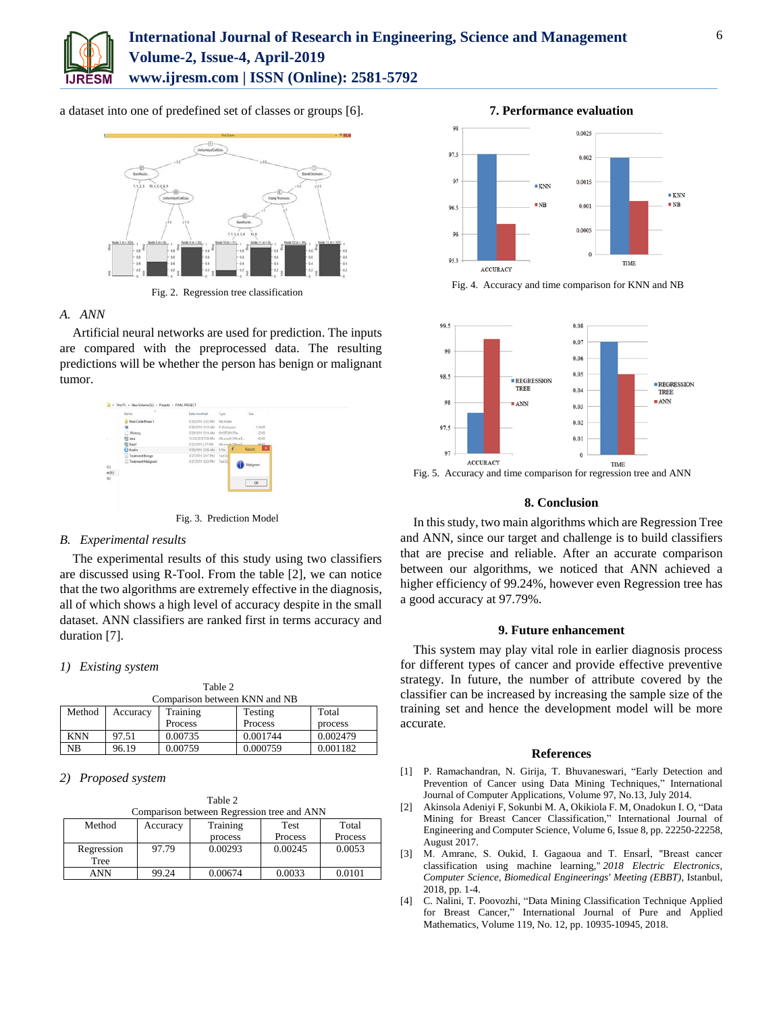

a dataset into one of predefined set of classes or groups [6].



Fig. 2. Regression tree classification

# *A. ANN*

Artificial neural networks are used for prediction. The inputs are compared with the preprocessed data. The resulting predictions will be whether the person has benign or malignant tumor.



Fig. 3. Prediction Model

# *B. Experimental results*

The experimental results of this study using two classifiers are discussed using R-Tool. From the table [2], we can notice that the two algorithms are extremely effective in the diagnosis, all of which shows a high level of accuracy despite in the small dataset. ANN classifiers are ranked first in terms accuracy and duration [7].

# *1) Existing system*

| Table 2                       |          |          |          |          |  |  |  |
|-------------------------------|----------|----------|----------|----------|--|--|--|
| Comparison between KNN and NB |          |          |          |          |  |  |  |
| Method                        | Accuracy | Training | Testing  | Total    |  |  |  |
|                               |          | Process  | Process  | process  |  |  |  |
| <b>KNN</b>                    | 97.51    | 0.00735  | 0.001744 | 0.002479 |  |  |  |
| NB                            | 96.19    | 0.00759  | 0.000759 | 0.001182 |  |  |  |

# *2) Proposed system*

Table 2

| Comparison between Regression tree and ANN |          |          |             |         |  |  |  |
|--------------------------------------------|----------|----------|-------------|---------|--|--|--|
| Method                                     | Accuracy | Training | <b>Test</b> | Total   |  |  |  |
|                                            |          | process  | Process     | Process |  |  |  |
| Regression                                 | 97.79    | 0.00293  | 0.00245     | 0.0053  |  |  |  |
| Tree                                       |          |          |             |         |  |  |  |
| ANN                                        | 99.24    | 0.00674  | 0.0033      | 0.0101  |  |  |  |





Fig. 4. Accuracy and time comparison for KNN and NB



Fig. 5. Accuracy and time comparison for regression tree and ANN

# **8. Conclusion**

In this study, two main algorithms which are Regression Tree and ANN, since our target and challenge is to build classifiers that are precise and reliable. After an accurate comparison between our algorithms, we noticed that ANN achieved a higher efficiency of 99.24%, however even Regression tree has a good accuracy at 97.79%.

# **9. Future enhancement**

This system may play vital role in earlier diagnosis process for different types of cancer and provide effective preventive strategy. In future, the number of attribute covered by the classifier can be increased by increasing the sample size of the training set and hence the development model will be more accurate.

#### **References**

- [1] P. Ramachandran, N. Girija, T. Bhuvaneswari, "Early Detection and Prevention of Cancer using Data Mining Techniques," International Journal of Computer Applications, Volume 97, No.13, July 2014.
- [2] Akinsola Adeniyi F, Sokunbi M. A, Okikiola F. M, Onadokun I. O, "Data Mining for Breast Cancer Classification," International Journal of Engineering and Computer Science, Volume 6, Issue 8, pp. 22250-22258, August 2017.
- [3] M. Amrane, S. Oukid, I. Gagaoua and T. Ensarİ, "Breast cancer classification using machine learning," *2018 Electric Electronics, Computer Science, Biomedical Engineerings' Meeting (EBBT)*, Istanbul, 2018, pp. 1-4.
- [4] C. Nalini, T. Poovozhi, "Data Mining Classification Technique Applied for Breast Cancer," International Journal of Pure and Applied Mathematics, Volume 119, No. 12, pp. 10935-10945, 2018.